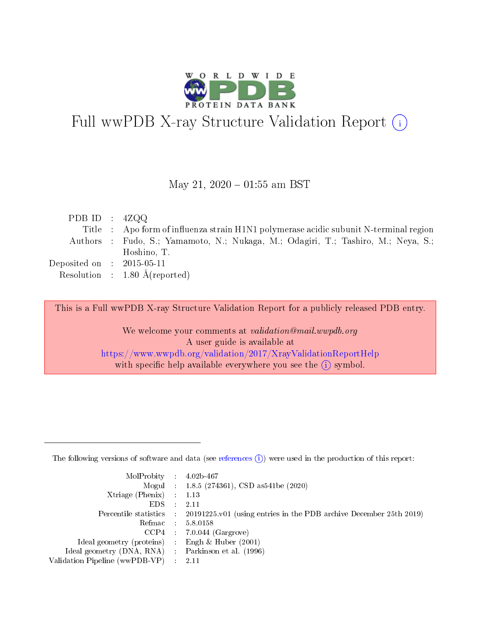

# Full wwPDB X-ray Structure Validation Report (i)

#### May 21,  $2020 - 01:55$  am BST

| PDB ID : $4ZQQ$                     |                                                                                       |
|-------------------------------------|---------------------------------------------------------------------------------------|
|                                     | Title : Apo form of influenza strain H1N1 polymerase acidic subunit N-terminal region |
|                                     | Authors : Fudo, S.; Yamamoto, N.; Nukaga, M.; Odagiri, T.; Tashiro, M.; Neya, S.;     |
|                                     | Hoshino, T.                                                                           |
| Deposited on $\;$ : 2015-05-11 $\;$ |                                                                                       |
|                                     | Resolution : $1.80 \text{ Å}$ (reported)                                              |

This is a Full wwPDB X-ray Structure Validation Report for a publicly released PDB entry.

We welcome your comments at validation@mail.wwpdb.org A user guide is available at <https://www.wwpdb.org/validation/2017/XrayValidationReportHelp> with specific help available everywhere you see the  $(i)$  symbol.

The following versions of software and data (see [references](https://www.wwpdb.org/validation/2017/XrayValidationReportHelp#references)  $(1)$ ) were used in the production of this report:

| $MolProbability$ : 4.02b-467                      |                              |                                                                                            |
|---------------------------------------------------|------------------------------|--------------------------------------------------------------------------------------------|
|                                                   |                              | Mogul : $1.8.5$ (274361), CSD as 541be (2020)                                              |
| Xtriage (Phenix) $: 1.13$                         |                              |                                                                                            |
| EDS –                                             | $\sim$                       | -2.11                                                                                      |
|                                                   |                              | Percentile statistics : 20191225.v01 (using entries in the PDB archive December 25th 2019) |
| Refmac : 5.8.0158                                 |                              |                                                                                            |
| CCP4                                              |                              | $7.0.044$ (Gargrove)                                                                       |
| Ideal geometry (proteins)                         | $\mathcal{L}_{\mathrm{eff}}$ | Engh & Huber $(2001)$                                                                      |
| Ideal geometry (DNA, RNA) Parkinson et al. (1996) |                              |                                                                                            |
| Validation Pipeline (wwPDB-VP) : 2.11             |                              |                                                                                            |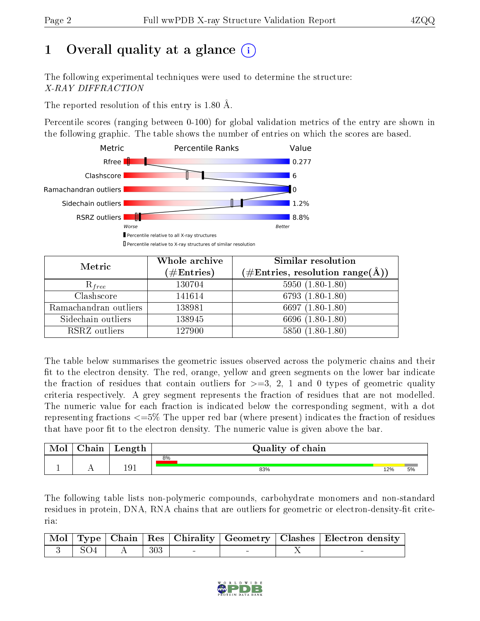## 1 [O](https://www.wwpdb.org/validation/2017/XrayValidationReportHelp#overall_quality)verall quality at a glance (i)

The following experimental techniques were used to determine the structure: X-RAY DIFFRACTION

The reported resolution of this entry is 1.80 Å.

Percentile scores (ranging between 0-100) for global validation metrics of the entry are shown in the following graphic. The table shows the number of entries on which the scores are based.



| Metric                | Whole archive<br>$(\#\mathrm{Entries})$ | <b>Similar resolution</b><br>(#Entries, resolution range(Å)) |
|-----------------------|-----------------------------------------|--------------------------------------------------------------|
| $R_{free}$            | 130704                                  | $5950(1.80-1.80)$                                            |
| Clashscore            | 141614                                  | 6793 $(1.80-1.80)$                                           |
| Ramachandran outliers | 138981                                  | 6697 $(1.80-1.80)$                                           |
| Sidechain outliers    | 138945                                  | 6696 (1.80-1.80)                                             |
| RSRZ outliers         | 127900                                  | $5850(1.80-1.80)$                                            |

The table below summarises the geometric issues observed across the polymeric chains and their fit to the electron density. The red, orange, yellow and green segments on the lower bar indicate the fraction of residues that contain outliers for  $>=3, 2, 1$  and 0 types of geometric quality criteria respectively. A grey segment represents the fraction of residues that are not modelled. The numeric value for each fraction is indicated below the corresponding segment, with a dot representing fractions <=5% The upper red bar (where present) indicates the fraction of residues that have poor fit to the electron density. The numeric value is given above the bar.

| Mol | ${\bf Chain}$ | Length | Quality of chain |     |    |
|-----|---------------|--------|------------------|-----|----|
|     |               |        | 8%               |     |    |
|     |               | 191    | 83%              | 12% | 5% |

The following table lists non-polymeric compounds, carbohydrate monomers and non-standard residues in protein, DNA, RNA chains that are outliers for geometric or electron-density-fit criteria:

|  |                         |        |  | Mol   Type   Chain   Res   Chirality   Geometry   Clashes   Electron density |
|--|-------------------------|--------|--|------------------------------------------------------------------------------|
|  | $\sim$ 3   SO4   A $^+$ | $-303$ |  |                                                                              |

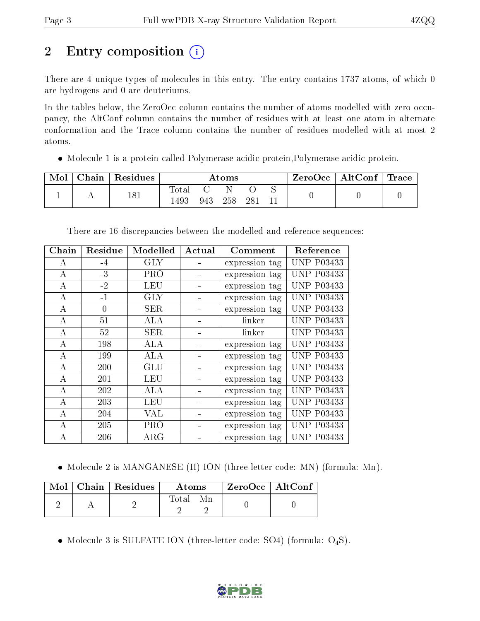## 2 Entry composition  $\left( \cdot \right)$

There are 4 unique types of molecules in this entry. The entry contains 1737 atoms, of which 0 are hydrogens and 0 are deuteriums.

In the tables below, the ZeroOcc column contains the number of atoms modelled with zero occupancy, the AltConf column contains the number of residues with at least one atom in alternate conformation and the Trace column contains the number of residues modelled with at most 2 atoms.

Molecule 1 is a protein called Polymerase acidic protein,Polymerase acidic protein.

| Mol | ${\rm Chain}$ | Residues | Atoms               |     |     | $ZeroOcc \   \$ AltConf | $^\text{\tiny{l}}$ Trace |  |  |
|-----|---------------|----------|---------------------|-----|-----|-------------------------|--------------------------|--|--|
|     |               | 181      | $\rm Total$<br>1493 | 943 | 258 | 28                      |                          |  |  |

| Chain | Residue  | Modelled   | Actual | Comment        | Reference         |
|-------|----------|------------|--------|----------------|-------------------|
| А     | $-4$     | <b>GLY</b> |        | expression tag | <b>UNP P03433</b> |
| А     | $-3$     | <b>PRO</b> |        | expression tag | <b>UNP P03433</b> |
| A     | $-2$     | <b>LEU</b> |        | expression tag | <b>UNP P03433</b> |
| А     | $-1$     | GLY        |        | expression tag | <b>UNP P03433</b> |
| A     | $\theta$ | <b>SER</b> |        | expression tag | <b>UNP P03433</b> |
| А     | 51       | ALA        |        | linker         | <b>UNP P03433</b> |
| A     | 52       | <b>SER</b> |        | linker         | <b>UNP P03433</b> |
| А     | 198      | ALA        |        | expression tag | <b>UNP P03433</b> |
| А     | 199      | ALA        |        | expression tag | <b>UNP P03433</b> |
| А     | 200      | <b>GLU</b> |        | expression tag | <b>UNP P03433</b> |
| A     | 201      | LEU        |        | expression tag | <b>UNP P03433</b> |
| А     | 202      | ALA        |        | expression tag | <b>UNP P03433</b> |
| А     | 203      | LEU        |        | expression tag | <b>UNP P03433</b> |
| А     | 204      | VAL        |        | expression tag | <b>UNP P03433</b> |
| A     | 205      | <b>PRO</b> |        | expression tag | <b>UNP P03433</b> |
| А     | 206      | $\rm{ARG}$ |        | expression tag | <b>UNP P03433</b> |

There are 16 discrepancies between the modelled and reference sequences:

• Molecule 2 is MANGANESE (II) ION (three-letter code: MN) (formula: Mn).

|  | Mol   Chain   Residues | Atoms | $\,$ ZeroOcc   AltConf |  |
|--|------------------------|-------|------------------------|--|
|  |                        | Total |                        |  |

• Molecule 3 is SULFATE ION (three-letter code: SO4) (formula:  $O_4S$ ).

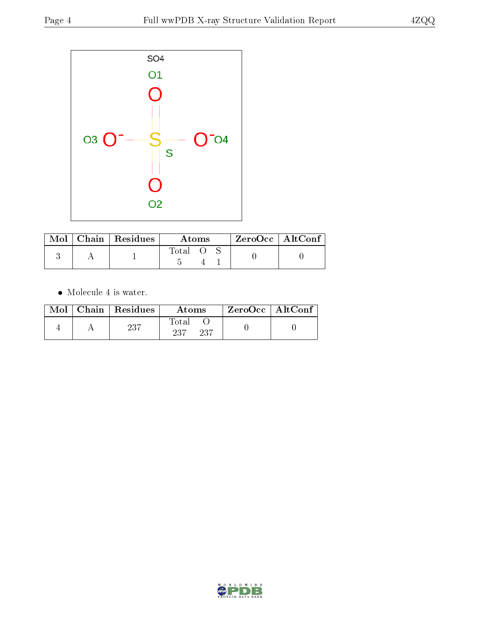

|  | Mol   Chain   Residues | Atoms |  |  | $ZeroOcc$   AltConf |  |
|--|------------------------|-------|--|--|---------------------|--|
|  |                        | Total |  |  |                     |  |

 $\bullet\,$  Molecule 4 is water.

|  | $Mol$   Chain   Residues | Atoms                | $\rm ZeroOcc \mid AltConf$ |  |
|--|--------------------------|----------------------|----------------------------|--|
|  | 237                      | Total<br>237<br>-237 |                            |  |

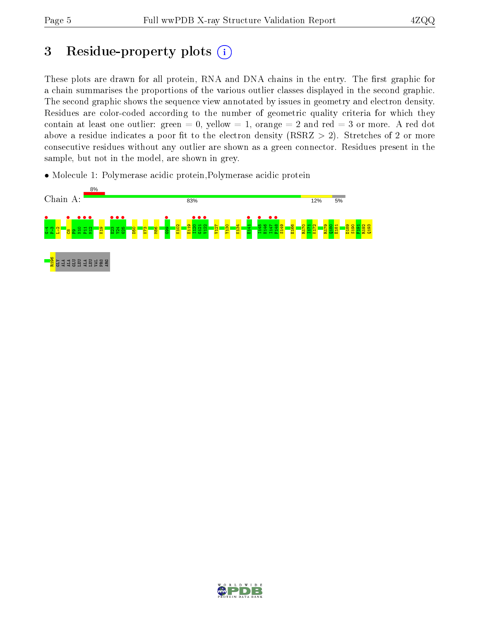## 3 Residue-property plots  $(i)$

These plots are drawn for all protein, RNA and DNA chains in the entry. The first graphic for a chain summarises the proportions of the various outlier classes displayed in the second graphic. The second graphic shows the sequence view annotated by issues in geometry and electron density. Residues are color-coded according to the number of geometric quality criteria for which they contain at least one outlier: green  $= 0$ , yellow  $= 1$ , orange  $= 2$  and red  $= 3$  or more. A red dot above a residue indicates a poor fit to the electron density (RSRZ  $> 2$ ). Stretches of 2 or more consecutive residues without any outlier are shown as a green connector. Residues present in the sample, but not in the model, are shown in grey.

• Molecule 1: Polymerase acidic protein, Polymerase acidic protein



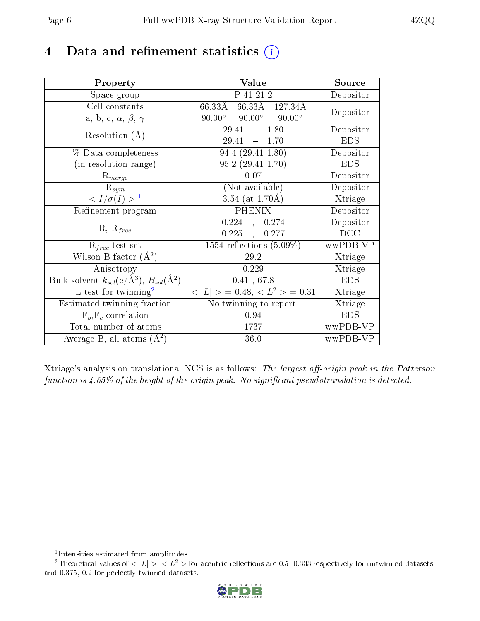## 4 Data and refinement statistics  $(i)$

| Property                                                             | Value                                            | Source     |
|----------------------------------------------------------------------|--------------------------------------------------|------------|
| Space group                                                          | P 41 21 2                                        | Depositor  |
| Cell constants                                                       | 66.33Å 127.34Å<br>$66.33\text{\AA}$              | Depositor  |
| a, b, c, $\alpha$ , $\beta$ , $\gamma$                               | $90.00^{\circ}$ $90.00^{\circ}$<br>$90.00^\circ$ |            |
| Resolution $(A)$                                                     | $-1.80$<br>29.41                                 | Depositor  |
|                                                                      | 29.41<br>$-1.70$                                 | <b>EDS</b> |
| % Data completeness                                                  | $94.4(29.41-1.80)$                               | Depositor  |
| (in resolution range)                                                | $95.2(29.41-1.70)$                               | <b>EDS</b> |
| $R_{merge}$                                                          | 0.07                                             | Depositor  |
| $\mathrm{R}_{sym}$                                                   | (Not available)                                  | Depositor  |
| $\langle I/\sigma(I) \rangle^{-1}$                                   | $3.54$ (at 1.70Å)                                | Xtriage    |
| Refinement program                                                   | <b>PHENIX</b>                                    | Depositor  |
|                                                                      | $0.224$ , $0.274$                                | Depositor  |
| $R, R_{free}$                                                        | $0.225$ ,<br>0.277                               | DCC        |
| $\mathcal{R}_{free}$ test set                                        | 1554 reflections $(5.09\%)$                      | wwPDB-VP   |
| Wilson B-factor $(A^2)$                                              | 29.2                                             | Xtriage    |
| Anisotropy                                                           | 0.229                                            | Xtriage    |
| Bulk solvent $k_{sol}(e/\mathring{A}^3)$ , $B_{sol}(\mathring{A}^2)$ | 0.41, 67.8                                       | <b>EDS</b> |
| L-test for twinning <sup>2</sup>                                     | $< L >$ = 0.48, $< L2 >$ = 0.31                  | Xtriage    |
| Estimated twinning fraction                                          | No twinning to report.                           | Xtriage    |
| $F_o, F_c$ correlation                                               | 0.94                                             | <b>EDS</b> |
| Total number of atoms                                                | 1737                                             | wwPDB-VP   |
| Average B, all atoms $(A^2)$                                         | 36.0                                             | wwPDB-VP   |

Xtriage's analysis on translational NCS is as follows: The largest off-origin peak in the Patterson function is  $4.65\%$  of the height of the origin peak. No significant pseudotranslation is detected.

<sup>&</sup>lt;sup>2</sup>Theoretical values of  $\langle |L| \rangle$ ,  $\langle L^2 \rangle$  for acentric reflections are 0.5, 0.333 respectively for untwinned datasets, and 0.375, 0.2 for perfectly twinned datasets.



<span id="page-5-1"></span><span id="page-5-0"></span><sup>1</sup> Intensities estimated from amplitudes.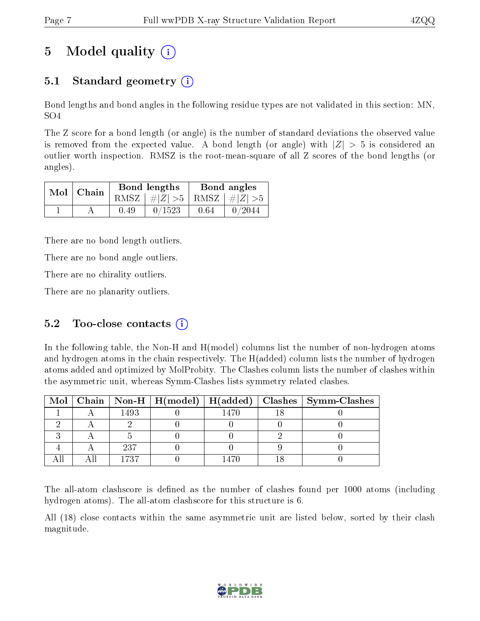## 5 Model quality  $(i)$

## 5.1 Standard geometry  $(i)$

Bond lengths and bond angles in the following residue types are not validated in this section: MN, SO4

The Z score for a bond length (or angle) is the number of standard deviations the observed value is removed from the expected value. A bond length (or angle) with  $|Z| > 5$  is considered an outlier worth inspection. RMSZ is the root-mean-square of all Z scores of the bond lengths (or angles).

| $Mol$   Chain |      | Bond lengths                    | Bond angles |        |  |
|---------------|------|---------------------------------|-------------|--------|--|
|               |      | RMSZ $ #Z  > 5$ RMSZ $ #Z  > 5$ |             |        |  |
|               | 0.49 | 0/1523                          | 0.64        | 0/2044 |  |

There are no bond length outliers.

There are no bond angle outliers.

There are no chirality outliers.

There are no planarity outliers.

### 5.2 Too-close contacts  $(i)$

In the following table, the Non-H and H(model) columns list the number of non-hydrogen atoms and hydrogen atoms in the chain respectively. The H(added) column lists the number of hydrogen atoms added and optimized by MolProbity. The Clashes column lists the number of clashes within the asymmetric unit, whereas Symm-Clashes lists symmetry related clashes.

|  |      |      | Mol   Chain   Non-H   H(model)   H(added)   Clashes   Symm-Clashes |
|--|------|------|--------------------------------------------------------------------|
|  | 1493 | 1470 |                                                                    |
|  |      |      |                                                                    |
|  |      |      |                                                                    |
|  | -237 |      |                                                                    |
|  | 1737 |      |                                                                    |

The all-atom clashscore is defined as the number of clashes found per 1000 atoms (including hydrogen atoms). The all-atom clashscore for this structure is 6.

All (18) close contacts within the same asymmetric unit are listed below, sorted by their clash magnitude.

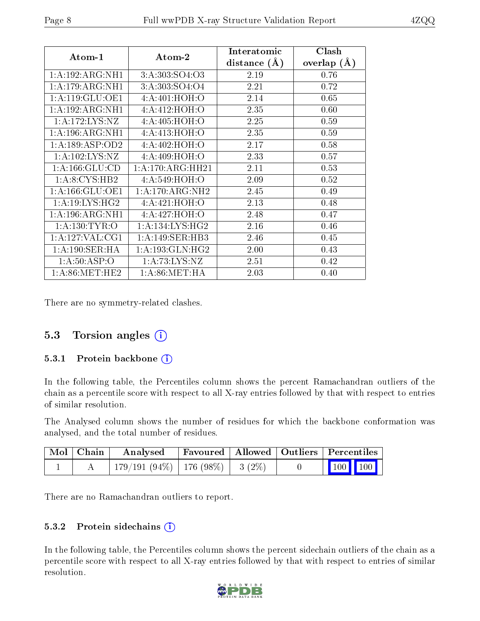| Atom-1              | Atom-2              | Interatomic    | Clash         |
|---------------------|---------------------|----------------|---------------|
|                     |                     | distance $(A)$ | overlap $(A)$ |
| 1:A:192:ARG:NH1     | 3: A: 303: SO4: O3  | 2.19           | 0.76          |
| 1:A:179:ARG:NH1     | 3:A:303:SO4:O4      | 2.21           | 0.72          |
| 1: A:119: GLU:OE1   | 4:A:401:HOH:O       | 2.14           | 0.65          |
| 1:A:192:ARG:NH1     | 4:A:412:HOH:O       | 2.35           | 0.60          |
| 1:A:172:LYS:NZ      | 4: A:405: HOH:O     | 2.25           | 0.59          |
| 1:A:196:ARG:NH1     | 4: A: 413: HOH: O   | 2.35           | 0.59          |
| 1: A: 189: ASP: OD2 | 4: A:402: HOH:O     | 2.17           | 0.58          |
| 1: A: 102: LYS: NZ  | 4: A:409:HOH:O      | 2.33           | 0.57          |
| 1: A: 166: GLU: CD  | 1:A:170:ARG:HH21    | 2.11           | 0.53          |
| 1: A:8:CYS:HB2      | 4: A:549:HOH:O      | 2.09           | 0.52          |
| 1: A: 166: GLU: OE1 | 1: A:170:ARG:NH2    | 2.45           | 0.49          |
| 1: A:19: LYS: HG2   | 4: A:421: HOH: O    | 2.13           | 0.48          |
| 1:A:196:ARG:NH1     | 4:A:427:HOH:O       | 2.48           | 0.47          |
| 1: A: 130: TYR: O   | 1: A: 134: LYS: HG2 | 2.16           | 0.46          |
| 1: A: 127: VAL: CG1 | 1: A:149: SER:HB3   | 2.46           | 0.45          |
| 1: A: 190: SER: HA  | 1: A: 193: GLN: HG2 | 2.00           | 0.43          |
| 1: A:50: ASP:O      | 1: A: 73: LYS: NZ   | 2.51           | 0.42          |
| 1: A:86: MET:HE2    | 1: A:86: MET:HA     | 2.03           | 0.40          |

There are no symmetry-related clashes.

## 5.3 Torsion angles (i)

#### 5.3.1 Protein backbone (i)

In the following table, the Percentiles column shows the percent Ramachandran outliers of the chain as a percentile score with respect to all X-ray entries followed by that with respect to entries of similar resolution.

The Analysed column shows the number of residues for which the backbone conformation was analysed, and the total number of residues.

| $\mid$ Mol $\mid$ Chain $\mid$ | Analysed                               |  | Favoured   Allowed   Outliers   Percentiles |  |
|--------------------------------|----------------------------------------|--|---------------------------------------------|--|
|                                | $179/191(94\%)$   176 (98\%)   3 (2\%) |  | $\vert$ 100 100 $\vert$                     |  |

There are no Ramachandran outliers to report.

### 5.3.2 Protein sidechains  $(i)$

In the following table, the Percentiles column shows the percent sidechain outliers of the chain as a percentile score with respect to all X-ray entries followed by that with respect to entries of similar resolution.

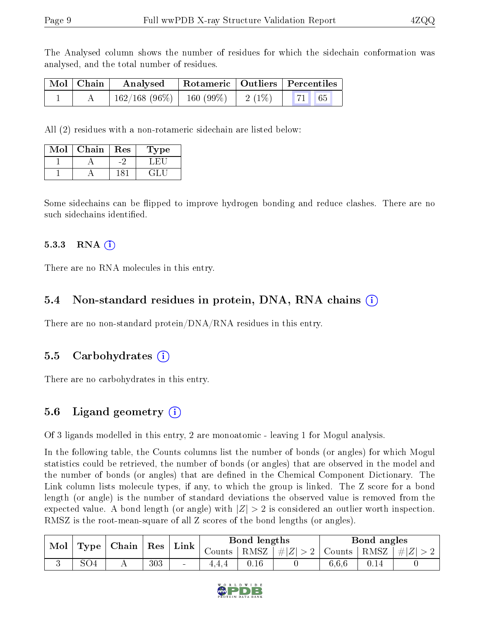The Analysed column shows the number of residues for which the sidechain conformation was analysed, and the total number of residues.

| Mol   Chain | Analysed                                        |  | Rotameric   Outliers   Percentiles |  |  |
|-------------|-------------------------------------------------|--|------------------------------------|--|--|
|             | $162/168$ (96\%)   160 (99\%)   2 (1\%)   71 65 |  |                                    |  |  |

All (2) residues with a non-rotameric sidechain are listed below:

| Mol | Chain | Res | 1 ype |
|-----|-------|-----|-------|
|     |       |     |       |
|     |       |     |       |

Some sidechains can be flipped to improve hydrogen bonding and reduce clashes. There are no such sidechains identified.

#### 5.3.3 RNA  $(i)$

There are no RNA molecules in this entry.

#### 5.4 Non-standard residues in protein, DNA, RNA chains (i)

There are no non-standard protein/DNA/RNA residues in this entry.

#### 5.5 Carbohydrates  $(i)$

There are no carbohydrates in this entry.

### 5.6 Ligand geometry  $(i)$

Of 3 ligands modelled in this entry, 2 are monoatomic - leaving 1 for Mogul analysis.

In the following table, the Counts columns list the number of bonds (or angles) for which Mogul statistics could be retrieved, the number of bonds (or angles) that are observed in the model and the number of bonds (or angles) that are defined in the Chemical Component Dictionary. The Link column lists molecule types, if any, to which the group is linked. The Z score for a bond length (or angle) is the number of standard deviations the observed value is removed from the expected value. A bond length (or angle) with  $|Z| > 2$  is considered an outlier worth inspection. RMSZ is the root-mean-square of all Z scores of the bond lengths (or angles).

| Mol |     | $\mid$ Type $\mid$ Chain $\mid$ Res |     | Link   | Bond lengths |      |                 | Bond angles   |  |    |
|-----|-----|-------------------------------------|-----|--------|--------------|------|-----------------|---------------|--|----|
|     |     |                                     |     |        | Counts -     |      | RMSZ $ #Z  > 2$ | Counts   RMSZ |  | #Z |
|     | SO4 |                                     | 303 | $\sim$ | 4.4.4        | 0.16 |                 | 6,6,6         |  |    |

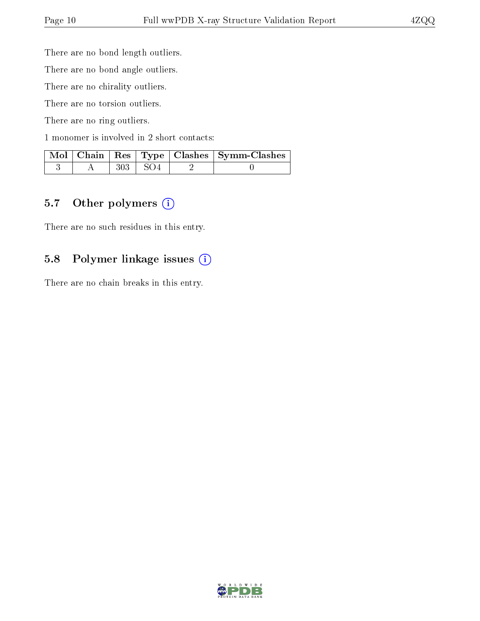There are no bond length outliers.

There are no bond angle outliers.

There are no chirality outliers.

There are no torsion outliers.

There are no ring outliers.

1 monomer is involved in 2 short contacts:

|  |                | Mol   Chain   Res   Type   Clashes   Symm-Clashes |
|--|----------------|---------------------------------------------------|
|  | $303 \div SO4$ |                                                   |

#### 5.7 [O](https://www.wwpdb.org/validation/2017/XrayValidationReportHelp#nonstandard_residues_and_ligands)ther polymers (i)

There are no such residues in this entry.

#### 5.8 Polymer linkage issues (i)

There are no chain breaks in this entry.

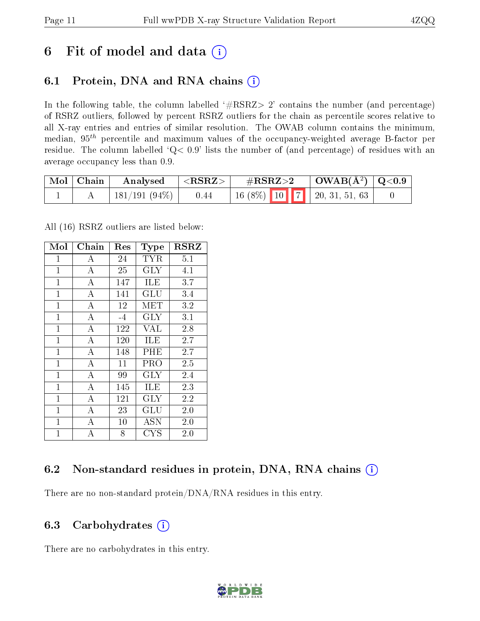## 6 Fit of model and data  $(i)$

## 6.1 Protein, DNA and RNA chains  $(i)$

In the following table, the column labelled  $#RSRZ> 2'$  contains the number (and percentage) of RSRZ outliers, followed by percent RSRZ outliers for the chain as percentile scores relative to all X-ray entries and entries of similar resolution. The OWAB column contains the minimum, median,  $95<sup>th</sup>$  percentile and maximum values of the occupancy-weighted average B-factor per residue. The column labelled ' $Q< 0.9$ ' lists the number of (and percentage) of residues with an average occupancy less than 0.9.

| Mol   Chain | $\blacksquare$ Analysed $\blacksquare$ | $ \langle \text{RSRZ}\rangle $ | $\rm \#RSRZ{>}2$ |  | $\vert$ OWAB(Å <sup>2</sup> ) $\vert$ Q<0.9 |  |
|-------------|----------------------------------------|--------------------------------|------------------|--|---------------------------------------------|--|
|             | 181/191 (94%)                          | 0.44                           |                  |  | $16(8\%)$ 10 7 20, 31, 51, 63               |  |

All (16) RSRZ outliers are listed below:

| Mol            | Chain              | $\operatorname{Res}% \left( \mathcal{N}\right) \equiv\operatorname{Res}(\mathcal{N}_{0})\cap\mathcal{N}_{1}$ | <b>Type</b>          | $_{\rm RSRZ}$ |
|----------------|--------------------|--------------------------------------------------------------------------------------------------------------|----------------------|---------------|
| $\mathbf{1}$   | А                  | 24                                                                                                           | <b>TYR</b>           | 5.1           |
| $\overline{1}$ | $\boldsymbol{A}$   | 25                                                                                                           | $\rm GLY$            | 4.1           |
| $\overline{1}$ | $\overline{A}$     | 147                                                                                                          | ILE                  | 3.7           |
| $\mathbf{1}$   | $\overline{A}$     | 141                                                                                                          | GLU                  | 3.4           |
| $\mathbf{1}$   | $\overline{\rm A}$ | 12                                                                                                           | MET                  | 3.2           |
| $\mathbf 1$    | $\overline{A}$     | $-4$                                                                                                         | <b>GLY</b>           | 3.1           |
| $\mathbf{1}$   | $\overline{A}$     | 122                                                                                                          | <b>VAL</b>           | 2.8           |
| $\overline{1}$ | $\overline{A}$     | 120                                                                                                          | ILE                  | 2.7           |
| $\mathbf{1}$   | $\overline{A}$     | 148                                                                                                          | PHE                  | 2.7           |
| $\mathbf{1}$   | $\overline{\rm A}$ | 11                                                                                                           | PRO                  | $2.5\,$       |
| $\overline{1}$ | $\overline{A}$     | 99                                                                                                           | <b>GLY</b>           | 2.4           |
| $\mathbf{1}$   | А                  | 145                                                                                                          | ILE                  | $2.3\,$       |
| $\mathbf 1$    | $\overline{A}$     | 121                                                                                                          | GLY                  | 2.2           |
| $\mathbf{1}$   | $\overline{A}$     | 23                                                                                                           | $\operatorname{GLU}$ | 2.0           |
| $\mathbf 1$    | $\bf{A}$           | 10                                                                                                           | <b>ASN</b>           | 2.0           |
| $\mathbf{1}$   | A                  | 8                                                                                                            | CYS                  | $2.0\,$       |

### 6.2 Non-standard residues in protein, DNA, RNA chains  $(i)$

There are no non-standard protein/DNA/RNA residues in this entry.

#### 6.3 Carbohydrates (i)

There are no carbohydrates in this entry.